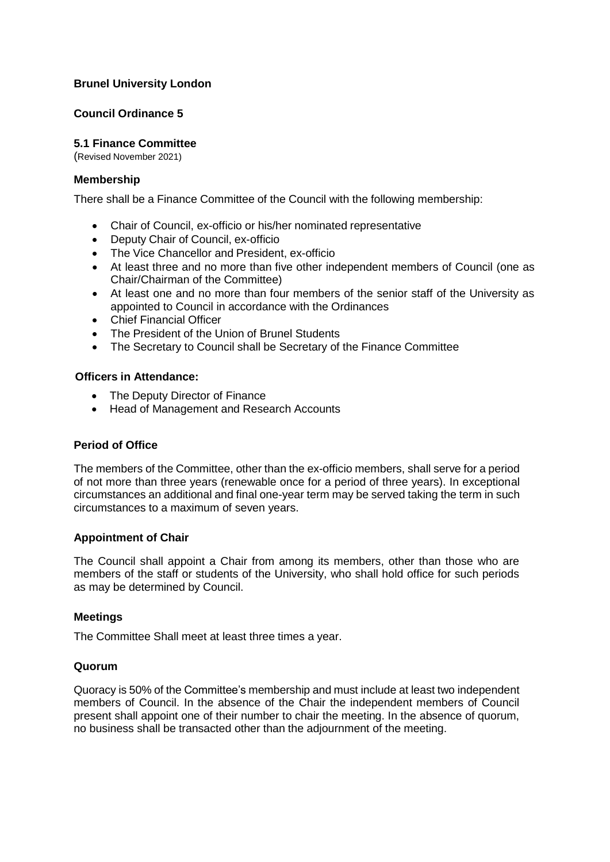# **Brunel University London**

## **Council Ordinance 5**

# **5.1 Finance Committee**

(Revised November 2021)

#### **Membership**

There shall be a Finance Committee of the Council with the following membership:

- Chair of Council, ex-officio or his/her nominated representative
- Deputy Chair of Council, ex-officio
- The Vice Chancellor and President, ex-officio
- At least three and no more than five other independent members of Council (one as Chair/Chairman of the Committee)
- At least one and no more than four members of the senior staff of the University as appointed to Council in accordance with the Ordinances
- Chief Financial Officer
- The President of the Union of Brunel Students
- The Secretary to Council shall be Secretary of the Finance Committee

#### **Officers in Attendance:**

- The Deputy Director of Finance
- Head of Management and Research Accounts

## **Period of Office**

The members of the Committee, other than the ex-officio members, shall serve for a period of not more than three years (renewable once for a period of three years). In exceptional circumstances an additional and final one-year term may be served taking the term in such circumstances to a maximum of seven years.

## **Appointment of Chair**

The Council shall appoint a Chair from among its members, other than those who are members of the staff or students of the University, who shall hold office for such periods as may be determined by Council.

#### **Meetings**

The Committee Shall meet at least three times a year.

#### **Quorum**

Quoracy is 50% of the Committee's membership and must include at least two independent members of Council. In the absence of the Chair the independent members of Council present shall appoint one of their number to chair the meeting. In the absence of quorum, no business shall be transacted other than the adjournment of the meeting.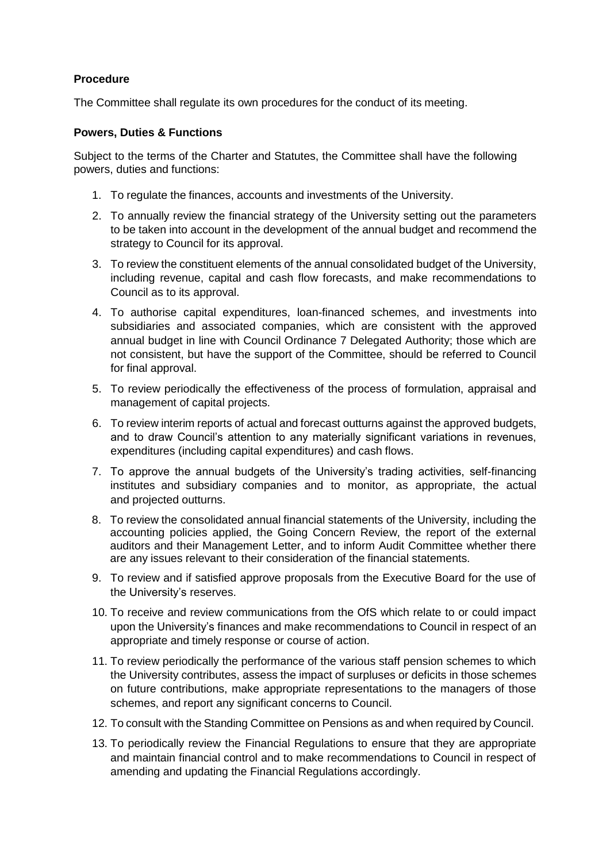# **Procedure**

The Committee shall regulate its own procedures for the conduct of its meeting.

## **Powers, Duties & Functions**

Subject to the terms of the Charter and Statutes, the Committee shall have the following powers, duties and functions:

- 1. To regulate the finances, accounts and investments of the University.
- 2. To annually review the financial strategy of the University setting out the parameters to be taken into account in the development of the annual budget and recommend the strategy to Council for its approval.
- 3. To review the constituent elements of the annual consolidated budget of the University, including revenue, capital and cash flow forecasts, and make recommendations to Council as to its approval.
- 4. To authorise capital expenditures, loan-financed schemes, and investments into subsidiaries and associated companies, which are consistent with the approved annual budget in line with Council Ordinance 7 Delegated Authority; those which are not consistent, but have the support of the Committee, should be referred to Council for final approval.
- 5. To review periodically the effectiveness of the process of formulation, appraisal and management of capital projects.
- 6. To review interim reports of actual and forecast outturns against the approved budgets, and to draw Council's attention to any materially significant variations in revenues, expenditures (including capital expenditures) and cash flows.
- 7. To approve the annual budgets of the University's trading activities, self-financing institutes and subsidiary companies and to monitor, as appropriate, the actual and projected outturns.
- 8. To review the consolidated annual financial statements of the University, including the accounting policies applied, the Going Concern Review, the report of the external auditors and their Management Letter, and to inform Audit Committee whether there are any issues relevant to their consideration of the financial statements.
- 9. To review and if satisfied approve proposals from the Executive Board for the use of the University's reserves.
- 10. To receive and review communications from the OfS which relate to or could impact upon the University's finances and make recommendations to Council in respect of an appropriate and timely response or course of action.
- 11. To review periodically the performance of the various staff pension schemes to which the University contributes, assess the impact of surpluses or deficits in those schemes on future contributions, make appropriate representations to the managers of those schemes, and report any significant concerns to Council.
- 12. To consult with the Standing Committee on Pensions as and when required by Council.
- 13. To periodically review the Financial Regulations to ensure that they are appropriate and maintain financial control and to make recommendations to Council in respect of amending and updating the Financial Regulations accordingly.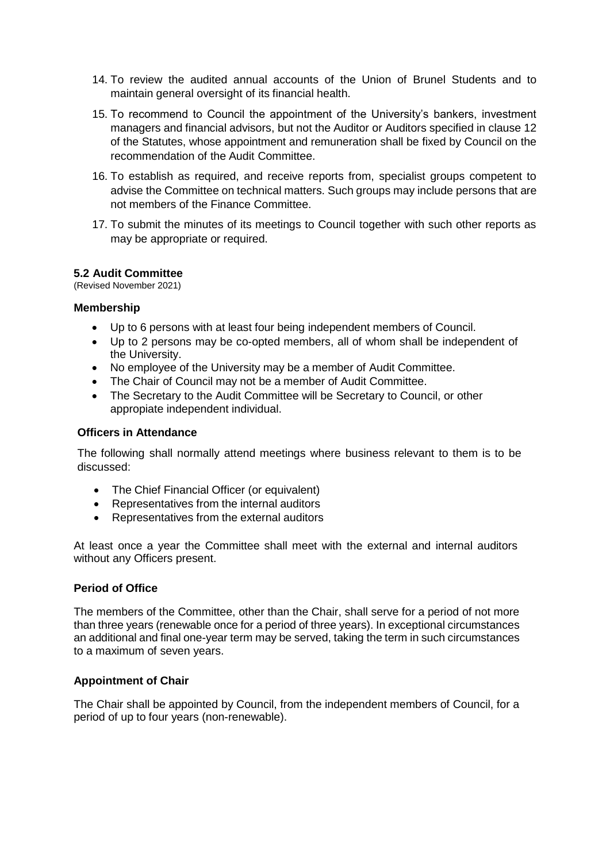- 14. To review the audited annual accounts of the Union of Brunel Students and to maintain general oversight of its financial health.
- 15. To recommend to Council the appointment of the University's bankers, investment managers and financial advisors, but not the Auditor or Auditors specified in clause 12 of the Statutes, whose appointment and remuneration shall be fixed by Council on the recommendation of the Audit Committee.
- 16. To establish as required, and receive reports from, specialist groups competent to advise the Committee on technical matters. Such groups may include persons that are not members of the Finance Committee.
- 17. To submit the minutes of its meetings to Council together with such other reports as may be appropriate or required.

## **5.2 Audit Committee**

(Revised November 2021)

### **Membership**

- Up to 6 persons with at least four being independent members of Council.
- Up to 2 persons may be co-opted members, all of whom shall be independent of the University.
- No employee of the University may be a member of Audit Committee.
- The Chair of Council may not be a member of Audit Committee.
- The Secretary to the Audit Committee will be Secretary to Council, or other appropiate independent individual.

#### **Officers in Attendance**

The following shall normally attend meetings where business relevant to them is to be discussed:

- The Chief Financial Officer (or equivalent)
- Representatives from the internal auditors
- Representatives from the external auditors

At least once a year the Committee shall meet with the external and internal auditors without any Officers present.

#### **Period of Office**

The members of the Committee, other than the Chair, shall serve for a period of not more than three years (renewable once for a period of three years). In exceptional circumstances an additional and final one-year term may be served, taking the term in such circumstances to a maximum of seven years.

## **Appointment of Chair**

The Chair shall be appointed by Council, from the independent members of Council, for a period of up to four years (non-renewable).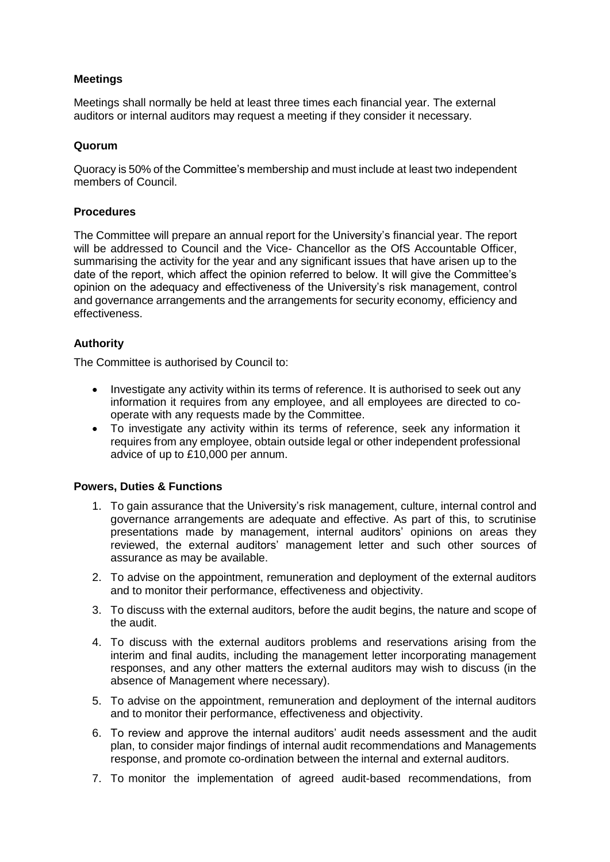# **Meetings**

Meetings shall normally be held at least three times each financial year. The external auditors or internal auditors may request a meeting if they consider it necessary.

## **Quorum**

Quoracy is 50% of the Committee's membership and must include at least two independent members of Council.

### **Procedures**

The Committee will prepare an annual report for the University's financial year. The report will be addressed to Council and the Vice- Chancellor as the OfS Accountable Officer, summarising the activity for the year and any significant issues that have arisen up to the date of the report, which affect the opinion referred to below. It will give the Committee's opinion on the adequacy and effectiveness of the University's risk management, control and governance arrangements and the arrangements for security economy, efficiency and effectiveness.

## **Authority**

The Committee is authorised by Council to:

- Investigate any activity within its terms of reference. It is authorised to seek out any information it requires from any employee, and all employees are directed to cooperate with any requests made by the Committee.
- To investigate any activity within its terms of reference, seek any information it requires from any employee, obtain outside legal or other independent professional advice of up to £10,000 per annum.

- 1. To gain assurance that the University's risk management, culture, internal control and governance arrangements are adequate and effective. As part of this, to scrutinise presentations made by management, internal auditors' opinions on areas they reviewed, the external auditors' management letter and such other sources of assurance as may be available.
- 2. To advise on the appointment, remuneration and deployment of the external auditors and to monitor their performance, effectiveness and objectivity.
- 3. To discuss with the external auditors, before the audit begins, the nature and scope of the audit.
- 4. To discuss with the external auditors problems and reservations arising from the interim and final audits, including the management letter incorporating management responses, and any other matters the external auditors may wish to discuss (in the absence of Management where necessary).
- 5. To advise on the appointment, remuneration and deployment of the internal auditors and to monitor their performance, effectiveness and objectivity.
- 6. To review and approve the internal auditors' audit needs assessment and the audit plan, to consider major findings of internal audit recommendations and Managements response, and promote co-ordination between the internal and external auditors.
- 7. To monitor the implementation of agreed audit-based recommendations, from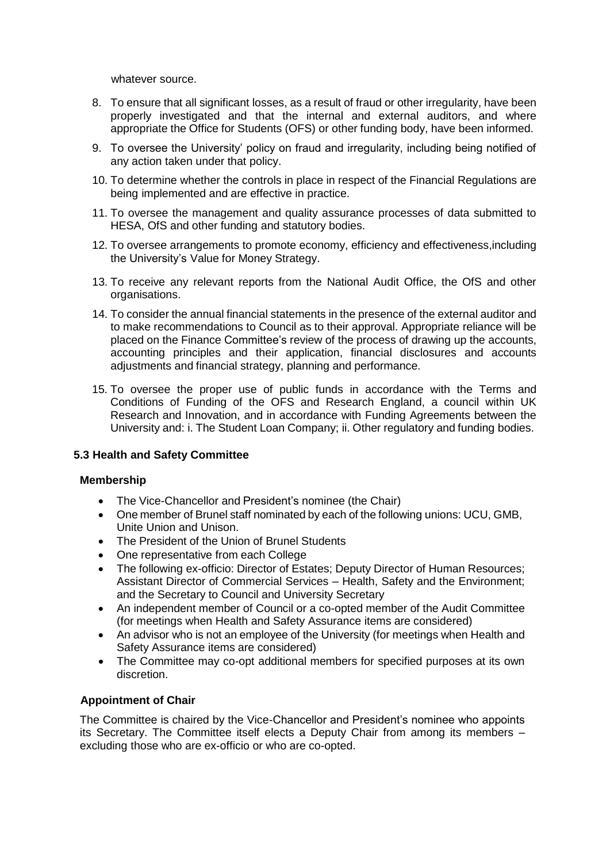whatever source.

- 8. To ensure that all significant losses, as a result of fraud or other irregularity, have been properly investigated and that the internal and external auditors, and where appropriate the Office for Students (OFS) or other funding body, have been informed.
- 9. To oversee the University' policy on fraud and irregularity, including being notified of any action taken under that policy.
- 10. To determine whether the controls in place in respect of the Financial Regulations are being implemented and are effective in practice.
- 11. To oversee the management and quality assurance processes of data submitted to HESA, OfS and other funding and statutory bodies.
- 12. To oversee arrangements to promote economy, efficiency and effectiveness,including the University's Value for Money Strategy.
- 13. To receive any relevant reports from the National Audit Office, the OfS and other organisations.
- 14. To consider the annual financial statements in the presence of the external auditor and to make recommendations to Council as to their approval. Appropriate reliance will be placed on the Finance Committee's review of the process of drawing up the accounts, accounting principles and their application, financial disclosures and accounts adjustments and financial strategy, planning and performance.
- 15. To oversee the proper use of public funds in accordance with the Terms and Conditions of Funding of the OFS and Research England, a council within UK Research and Innovation, and in accordance with Funding Agreements between the University and: i. The Student Loan Company; ii. Other regulatory and funding bodies.

## **5.3 Health and Safety Committee**

## **Membership**

- The Vice-Chancellor and President's nominee (the Chair)
- One member of Brunel staff nominated by each of the following unions: UCU, GMB, Unite Union and Unison.
- The President of the Union of Brunel Students
- One representative from each College
- The following ex-officio: Director of Estates; Deputy Director of Human Resources; Assistant Director of Commercial Services – Health, Safety and the Environment; and the Secretary to Council and University Secretary
- An independent member of Council or a co-opted member of the Audit Committee (for meetings when Health and Safety Assurance items are considered)
- An advisor who is not an employee of the University (for meetings when Health and Safety Assurance items are considered)
- The Committee may co-opt additional members for specified purposes at its own discretion.

## **Appointment of Chair**

The Committee is chaired by the Vice-Chancellor and President's nominee who appoints its Secretary. The Committee itself elects a Deputy Chair from among its members – excluding those who are ex-officio or who are co-opted.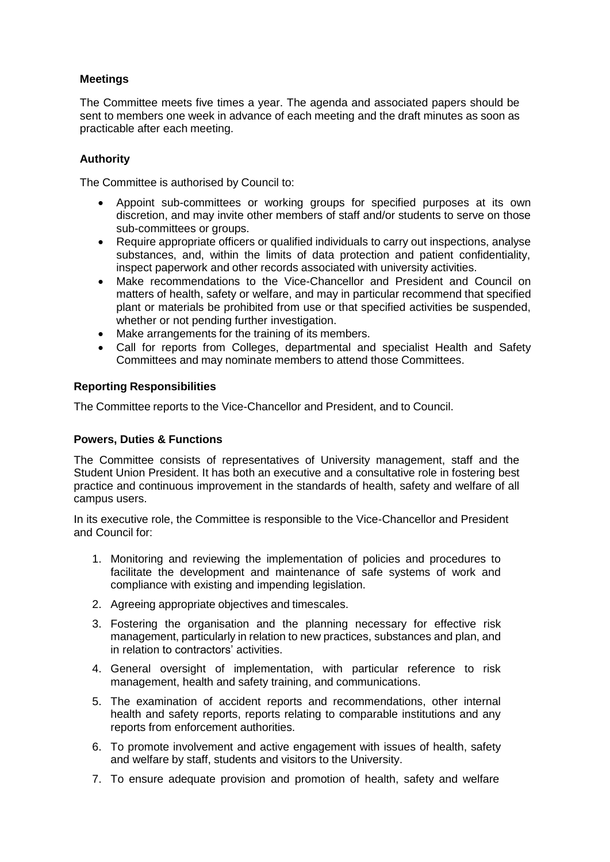# **Meetings**

The Committee meets five times a year. The agenda and associated papers should be sent to members one week in advance of each meeting and the draft minutes as soon as practicable after each meeting.

## **Authority**

The Committee is authorised by Council to:

- Appoint sub-committees or working groups for specified purposes at its own discretion, and may invite other members of staff and/or students to serve on those sub-committees or groups.
- Require appropriate officers or qualified individuals to carry out inspections, analyse substances, and, within the limits of data protection and patient confidentiality, inspect paperwork and other records associated with university activities.
- Make recommendations to the Vice-Chancellor and President and Council on matters of health, safety or welfare, and may in particular recommend that specified plant or materials be prohibited from use or that specified activities be suspended, whether or not pending further investigation.
- Make arrangements for the training of its members.
- Call for reports from Colleges, departmental and specialist Health and Safety Committees and may nominate members to attend those Committees.

### **Reporting Responsibilities**

The Committee reports to the Vice-Chancellor and President, and to Council.

## **Powers, Duties & Functions**

The Committee consists of representatives of University management, staff and the Student Union President. It has both an executive and a consultative role in fostering best practice and continuous improvement in the standards of health, safety and welfare of all campus users.

In its executive role, the Committee is responsible to the Vice-Chancellor and President and Council for:

- 1. Monitoring and reviewing the implementation of policies and procedures to facilitate the development and maintenance of safe systems of work and compliance with existing and impending legislation.
- 2. Agreeing appropriate objectives and timescales.
- 3. Fostering the organisation and the planning necessary for effective risk management, particularly in relation to new practices, substances and plan, and in relation to contractors' activities.
- 4. General oversight of implementation, with particular reference to risk management, health and safety training, and communications.
- 5. The examination of accident reports and recommendations, other internal health and safety reports, reports relating to comparable institutions and any reports from enforcement authorities.
- 6. To promote involvement and active engagement with issues of health, safety and welfare by staff, students and visitors to the University.
- 7. To ensure adequate provision and promotion of health, safety and welfare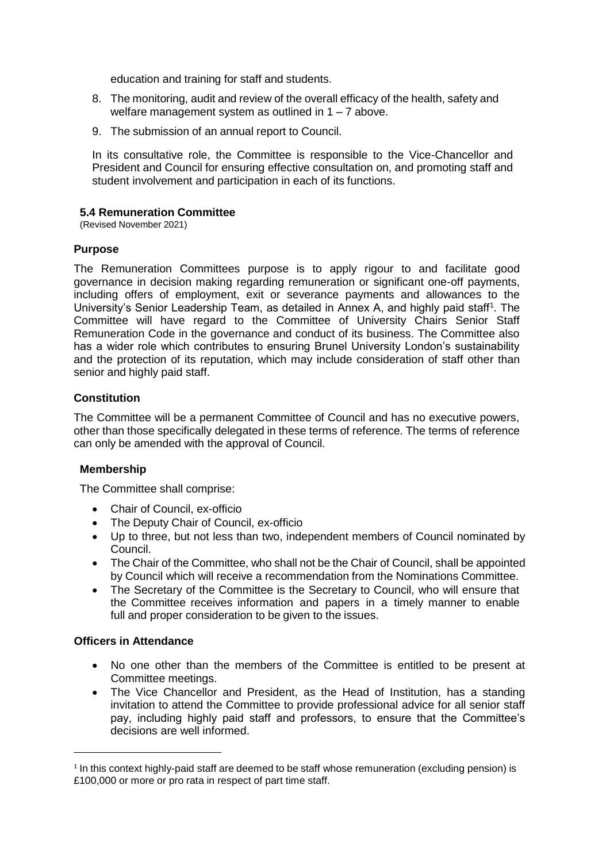education and training for staff and students.

- 8. The monitoring, audit and review of the overall efficacy of the health, safety and welfare management system as outlined in  $1 - 7$  above.
- 9. The submission of an annual report to Council.

In its consultative role, the Committee is responsible to the Vice-Chancellor and President and Council for ensuring effective consultation on, and promoting staff and student involvement and participation in each of its functions.

### **5.4 Remuneration Committee**

(Revised November 2021)

### **Purpose**

The Remuneration Committees purpose is to apply rigour to and facilitate good governance in decision making regarding remuneration or significant one-off payments, including offers of employment, exit or severance payments and allowances to the University's Senior Leadership Team, as detailed in Annex A, and highly paid staff<sup>[1](#page-6-0)</sup>. The Committee will have regard to the Committee of University Chairs Senior Staff Remuneration Code in the governance and conduct of its business. The Committee also has a wider role which contributes to ensuring Brunel University London's sustainability and the protection of its reputation, which may include consideration of staff other than senior and highly paid staff.

### **Constitution**

The Committee will be a permanent Committee of Council and has no executive powers, other than those specifically delegated in these terms of reference. The terms of reference can only be amended with the approval of Council.

#### **Membership**

The Committee shall comprise:

- Chair of Council, ex-officio
- The Deputy Chair of Council, ex-officio
- Up to three, but not less than two, independent members of Council nominated by Council.
- The Chair of the Committee, who shall not be the Chair of Council, shall be appointed by Council which will receive a recommendation from the Nominations Committee.
- The Secretary of the Committee is the Secretary to Council, who will ensure that the Committee receives information and papers in a timely manner to enable full and proper consideration to be given to the issues.

## **Officers in Attendance**

- No one other than the members of the Committee is entitled to be present at Committee meetings.
- The Vice Chancellor and President, as the Head of Institution, has a standing invitation to attend the Committee to provide professional advice for all senior staff pay, including highly paid staff and professors, to ensure that the Committee's decisions are well informed.

<span id="page-6-0"></span><sup>&</sup>lt;sup>1</sup> In this context highly-paid staff are deemed to be staff whose remuneration (excluding pension) is £100,000 or more or pro rata in respect of part time staff.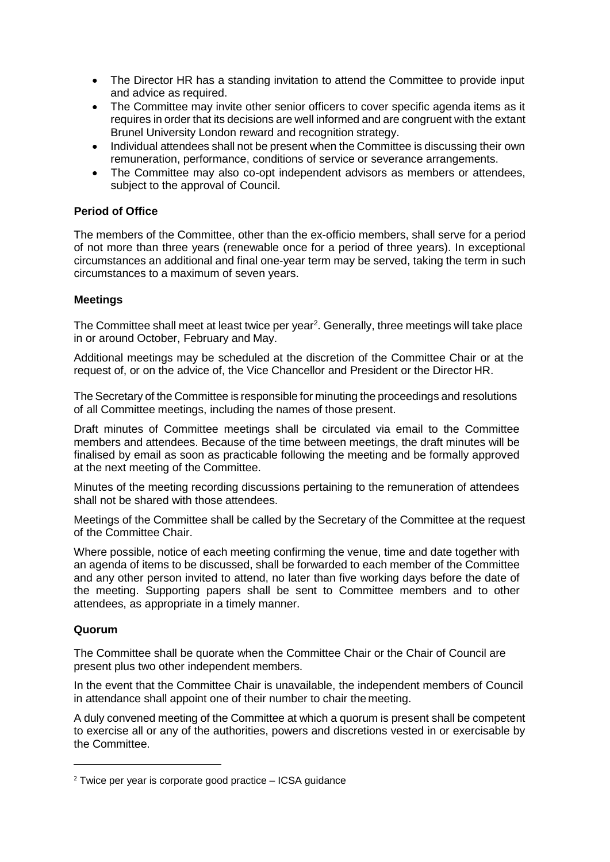- The Director HR has a standing invitation to attend the Committee to provide input and advice as required.
- The Committee may invite other senior officers to cover specific agenda items as it requires in order that its decisions are well informed and are congruent with the extant Brunel University London reward and recognition strategy.
- Individual attendees shall not be present when the Committee is discussing their own remuneration, performance, conditions of service or severance arrangements.
- The Committee may also co-opt independent advisors as members or attendees, subject to the approval of Council.

## **Period of Office**

The members of the Committee, other than the ex-officio members, shall serve for a period of not more than three years (renewable once for a period of three years). In exceptional circumstances an additional and final one-year term may be served, taking the term in such circumstances to a maximum of seven years.

### **Meetings**

The Committee shall meet at least twice per year<sup>[2](#page-7-0)</sup>. Generally, three meetings will take place in or around October, February and May.

Additional meetings may be scheduled at the discretion of the Committee Chair or at the request of, or on the advice of, the Vice Chancellor and President or the Director HR.

The Secretary of the Committee is responsible for minuting the proceedings and resolutions of all Committee meetings, including the names of those present.

Draft minutes of Committee meetings shall be circulated via email to the Committee members and attendees. Because of the time between meetings, the draft minutes will be finalised by email as soon as practicable following the meeting and be formally approved at the next meeting of the Committee.

Minutes of the meeting recording discussions pertaining to the remuneration of attendees shall not be shared with those attendees.

Meetings of the Committee shall be called by the Secretary of the Committee at the request of the Committee Chair.

Where possible, notice of each meeting confirming the venue, time and date together with an agenda of items to be discussed, shall be forwarded to each member of the Committee and any other person invited to attend, no later than five working days before the date of the meeting. Supporting papers shall be sent to Committee members and to other attendees, as appropriate in a timely manner.

#### **Quorum**

The Committee shall be quorate when the Committee Chair or the Chair of Council are present plus two other independent members.

In the event that the Committee Chair is unavailable, the independent members of Council in attendance shall appoint one of their number to chair the meeting.

A duly convened meeting of the Committee at which a quorum is present shall be competent to exercise all or any of the authorities, powers and discretions vested in or exercisable by the Committee.

<span id="page-7-0"></span> $2$  Twice per year is corporate good practice  $-$  ICSA guidance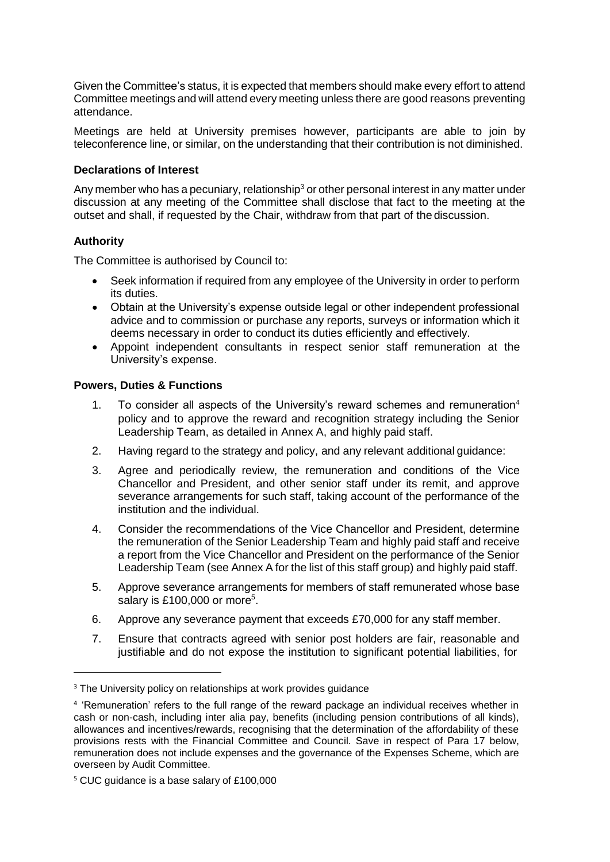Given the Committee's status, it is expected that members should make every effort to attend Committee meetings and will attend every meeting unless there are good reasons preventing attendance.

Meetings are held at University premises however, participants are able to join by teleconference line, or similar, on the understanding that their contribution is not diminished.

## **Declarations of Interest**

Any member who has a pecuniary, relationship<sup>[3](#page-8-0)</sup> or other personal interest in any matter under discussion at any meeting of the Committee shall disclose that fact to the meeting at the outset and shall, if requested by the Chair, withdraw from that part of the discussion.

# **Authority**

The Committee is authorised by Council to:

- Seek information if required from any employee of the University in order to perform its duties.
- Obtain at the University's expense outside legal or other independent professional advice and to commission or purchase any reports, surveys or information which it deems necessary in order to conduct its duties efficiently and effectively.
- Appoint independent consultants in respect senior staff remuneration at the University's expense.

- 1. To co[n](#page-8-1)sider all aspects of the University's reward schemes and remuneration<sup>4</sup> policy and to approve the reward and recognition strategy including the Senior Leadership Team, as detailed in Annex A, and highly paid staff.
- 2. Having regard to the strategy and policy, and any relevant additional guidance:
- 3. Agree and periodically review, the remuneration and conditions of the Vice Chancellor and President, and other senior staff under its remit, and approve severance arrangements for such staff, taking account of the performance of the institution and the individual.
- 4. Consider the recommendations of the Vice Chancellor and President, determine the remuneration of the Senior Leadership Team and highly paid staff and receive a report from the Vice Chancellor and President on the performance of the Senior Leadership Team (see Annex A for the list of this staff group) and highly paid staff.
- 5. Approve severance arrangements for members of staff remunerated whose base salary is £100,000 or more<sup>[5](#page-8-2)</sup>.
- 6. Approve any severance payment that exceeds £70,000 for any staff member.
- 7. Ensure that contracts agreed with senior post holders are fair, reasonable and justifiable and do not expose the institution to significant potential liabilities, for

<span id="page-8-0"></span><sup>&</sup>lt;sup>3</sup> The University policy on relationships at work provides guidance

<span id="page-8-1"></span> $^4$  'Remuneration' refers to the full range of the reward package an individual receives whether in cash or non-cash, including inter alia pay, benefits (including pension contributions of all kinds), allowances and incentives/rewards, recognising that the determination of the affordability of these provisions rests with the Financial Committee and Council. Save in respect of Para 17 below, remuneration does not include expenses and the governance of the Expenses Scheme, which are overseen by Audit Committee.

<span id="page-8-2"></span><sup>5</sup> CUC guidance is a base salary of £100,000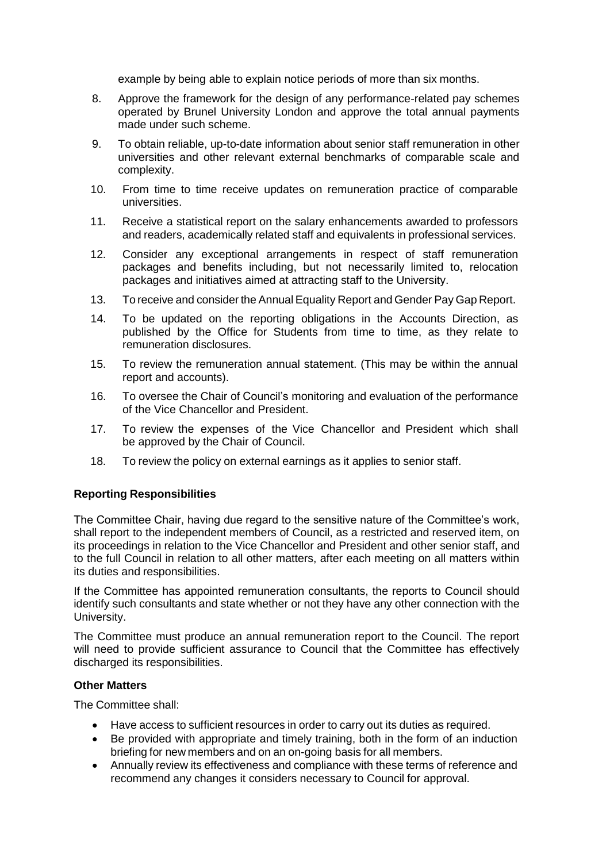example by being able to explain notice periods of more than six months.

- 8. Approve the framework for the design of any performance-related pay schemes operated by Brunel University London and approve the total annual payments made under such scheme.
- 9. To obtain reliable, up-to-date information about senior staff remuneration in other universities and other relevant external benchmarks of comparable scale and complexity.
- 10. From time to time receive updates on remuneration practice of comparable universities.
- 11. Receive a statistical report on the salary enhancements awarded to professors and readers, academically related staff and equivalents in professional services.
- 12. Consider any exceptional arrangements in respect of staff remuneration packages and benefits including, but not necessarily limited to, relocation packages and initiatives aimed at attracting staff to the University.
- 13. To receive and consider the Annual Equality Report and Gender Pay Gap Report.
- 14. To be updated on the reporting obligations in the Accounts Direction, as published by the Office for Students from time to time, as they relate to remuneration disclosures.
- 15. To review the remuneration annual statement. (This may be within the annual report and accounts).
- 16. To oversee the Chair of Council's monitoring and evaluation of the performance of the Vice Chancellor and President.
- 17. To review the expenses of the Vice Chancellor and President which shall be approved by the Chair of Council.
- 18. To review the policy on external earnings as it applies to senior staff.

## **Reporting Responsibilities**

The Committee Chair, having due regard to the sensitive nature of the Committee's work, shall report to the independent members of Council, as a restricted and reserved item, on its proceedings in relation to the Vice Chancellor and President and other senior staff, and to the full Council in relation to all other matters, after each meeting on all matters within its duties and responsibilities.

If the Committee has appointed remuneration consultants, the reports to Council should identify such consultants and state whether or not they have any other connection with the University.

The Committee must produce an annual remuneration report to the Council. The report will need to provide sufficient assurance to Council that the Committee has effectively discharged its responsibilities.

#### **Other Matters**

The Committee shall:

- Have access to sufficient resources in order to carry out its duties as required.
- Be provided with appropriate and timely training, both in the form of an induction briefing for new members and on an on-going basis for all members.
- Annually review its effectiveness and compliance with these terms of reference and recommend any changes it considers necessary to Council for approval.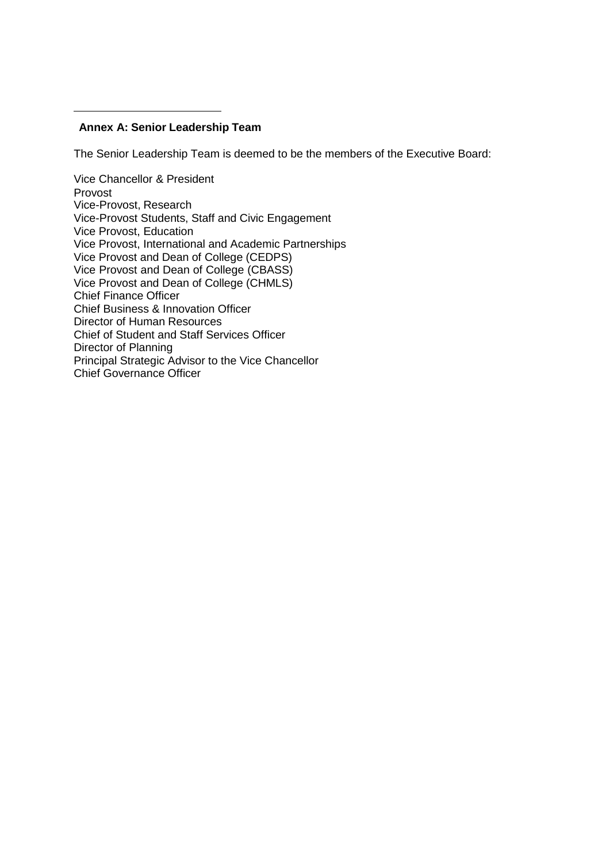## **Annex A: Senior Leadership Team**

The Senior Leadership Team is deemed to be the members of the Executive Board:

Vice Chancellor & President Provost Vice-Provost, Research Vice-Provost Students, Staff and Civic Engagement Vice Provost, Education Vice Provost, International and Academic Partnerships Vice Provost and Dean of College (CEDPS) Vice Provost and Dean of College (CBASS) Vice Provost and Dean of College (CHMLS) Chief Finance Officer Chief Business & Innovation Officer Director of Human Resources Chief of Student and Staff Services Officer Director of Planning Principal Strategic Advisor to the Vice Chancellor Chief Governance Officer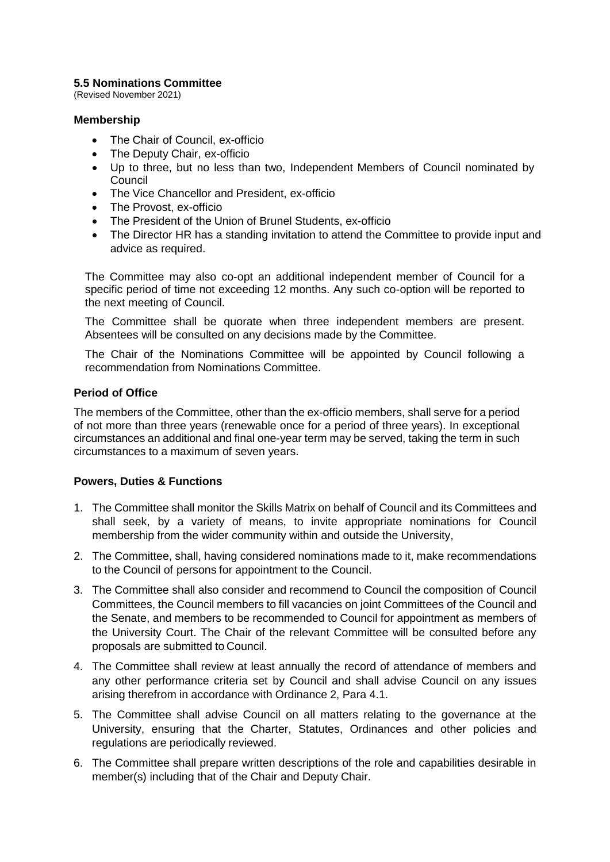### **5.5 Nominations Committee**

(Revised November 2021)

### **Membership**

- The Chair of Council, ex-officio
- The Deputy Chair, ex-officio
- Up to three, but no less than two, Independent Members of Council nominated by Council
- The Vice Chancellor and President, ex-officio
- The Provost, ex-officio
- The President of the Union of Brunel Students, ex-officio
- The Director HR has a standing invitation to attend the Committee to provide input and advice as required.

The Committee may also co-opt an additional independent member of Council for a specific period of time not exceeding 12 months. Any such co-option will be reported to the next meeting of Council.

The Committee shall be quorate when three independent members are present. Absentees will be consulted on any decisions made by the Committee.

The Chair of the Nominations Committee will be appointed by Council following a recommendation from Nominations Committee.

## **Period of Office**

The members of the Committee, other than the ex-officio members, shall serve for a period of not more than three years (renewable once for a period of three years). In exceptional circumstances an additional and final one-year term may be served, taking the term in such circumstances to a maximum of seven years.

- 1. The Committee shall monitor the Skills Matrix on behalf of Council and its Committees and shall seek, by a variety of means, to invite appropriate nominations for Council membership from the wider community within and outside the University,
- 2. The Committee, shall, having considered nominations made to it, make recommendations to the Council of persons for appointment to the Council.
- 3. The Committee shall also consider and recommend to Council the composition of Council Committees, the Council members to fill vacancies on joint Committees of the Council and the Senate, and members to be recommended to Council for appointment as members of the University Court. The Chair of the relevant Committee will be consulted before any proposals are submitted to Council.
- 4. The Committee shall review at least annually the record of attendance of members and any other performance criteria set by Council and shall advise Council on any issues arising therefrom in accordance with Ordinance 2, Para 4.1.
- 5. The Committee shall advise Council on all matters relating to the governance at the University, ensuring that the Charter, Statutes, Ordinances and other policies and regulations are periodically reviewed.
- 6. The Committee shall prepare written descriptions of the role and capabilities desirable in member(s) including that of the Chair and Deputy Chair.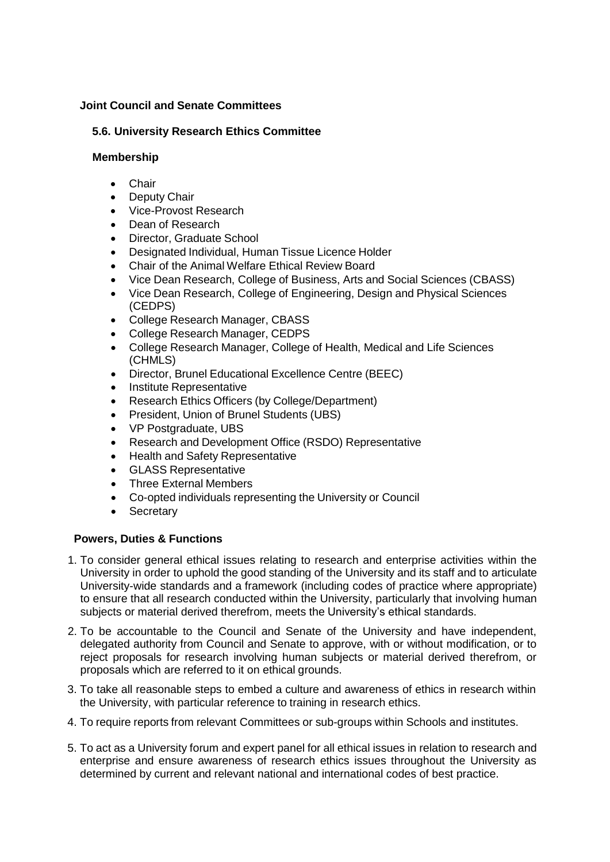## **Joint Council and Senate Committees**

# **5.6. University Research Ethics Committee**

## **Membership**

- Chair
- **Deputy Chair**
- Vice-Provost Research
- Dean of Research
- Director, Graduate School
- Designated Individual, Human Tissue Licence Holder
- Chair of the Animal Welfare Ethical Review Board
- Vice Dean Research, College of Business, Arts and Social Sciences (CBASS)
- Vice Dean Research, College of Engineering, Design and Physical Sciences (CEDPS)
- College Research Manager, CBASS
- College Research Manager, CEDPS
- College Research Manager, College of Health, Medical and Life Sciences (CHMLS)
- Director, Brunel Educational Excellence Centre (BEEC)
- Institute Representative
- Research Ethics Officers (by College/Department)
- President, Union of Brunel Students (UBS)
- VP Postgraduate, UBS
- Research and Development Office (RSDO) Representative
- Health and Safety Representative
- GLASS Representative
- Three External Members
- Co-opted individuals representing the University or Council
- Secretary

- 1. To consider general ethical issues relating to research and enterprise activities within the University in order to uphold the good standing of the University and its staff and to articulate University-wide standards and a framework (including codes of practice where appropriate) to ensure that all research conducted within the University, particularly that involving human subjects or material derived therefrom, meets the University's ethical standards.
- 2. To be accountable to the Council and Senate of the University and have independent, delegated authority from Council and Senate to approve, with or without modification, or to reject proposals for research involving human subjects or material derived therefrom, or proposals which are referred to it on ethical grounds.
- 3. To take all reasonable steps to embed a culture and awareness of ethics in research within the University, with particular reference to training in research ethics.
- 4. To require reports from relevant Committees or sub-groups within Schools and institutes.
- 5. To act as a University forum and expert panel for all ethical issues in relation to research and enterprise and ensure awareness of research ethics issues throughout the University as determined by current and relevant national and international codes of best practice.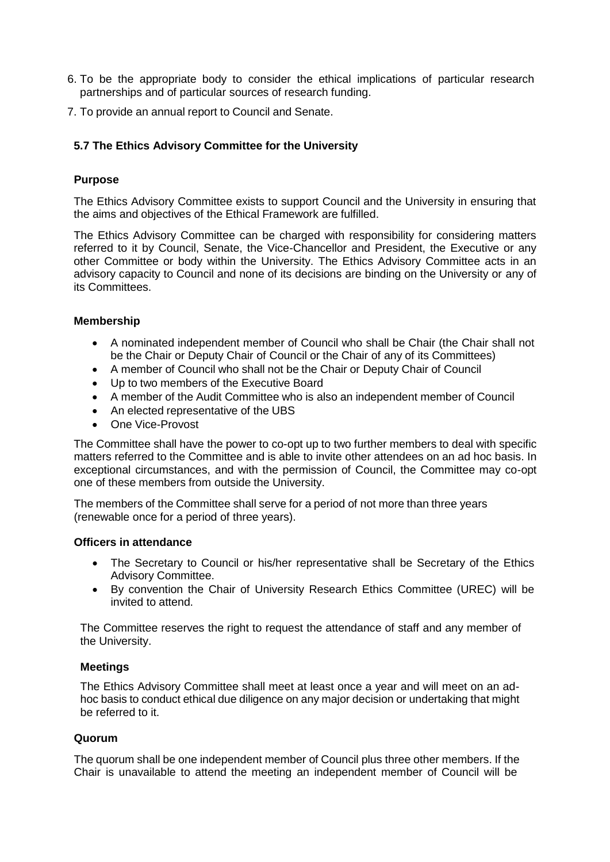- 6. To be the appropriate body to consider the ethical implications of particular research partnerships and of particular sources of research funding.
- 7. To provide an annual report to Council and Senate.

# **5.7 The Ethics Advisory Committee for the University**

# **Purpose**

The Ethics Advisory Committee exists to support Council and the University in ensuring that the aims and objectives of the Ethical Framework are fulfilled.

The Ethics Advisory Committee can be charged with responsibility for considering matters referred to it by Council, Senate, the Vice-Chancellor and President, the Executive or any other Committee or body within the University. The Ethics Advisory Committee acts in an advisory capacity to Council and none of its decisions are binding on the University or any of its Committees.

## **Membership**

- A nominated independent member of Council who shall be Chair (the Chair shall not be the Chair or Deputy Chair of Council or the Chair of any of its Committees)
- A member of Council who shall not be the Chair or Deputy Chair of Council
- Up to two members of the Executive Board
- A member of the Audit Committee who is also an independent member of Council
- An elected representative of the UBS
- One Vice-Provost

The Committee shall have the power to co-opt up to two further members to deal with specific matters referred to the Committee and is able to invite other attendees on an ad hoc basis. In exceptional circumstances, and with the permission of Council, the Committee may co-opt one of these members from outside the University.

The members of the Committee shall serve for a period of not more than three years (renewable once for a period of three years).

## **Officers in attendance**

- The Secretary to Council or his/her representative shall be Secretary of the Ethics Advisory Committee.
- By convention the Chair of University Research Ethics Committee (UREC) will be invited to attend.

The Committee reserves the right to request the attendance of staff and any member of the University.

## **Meetings**

The Ethics Advisory Committee shall meet at least once a year and will meet on an adhoc basis to conduct ethical due diligence on any major decision or undertaking that might be referred to it.

## **Quorum**

The quorum shall be one independent member of Council plus three other members. If the Chair is unavailable to attend the meeting an independent member of Council will be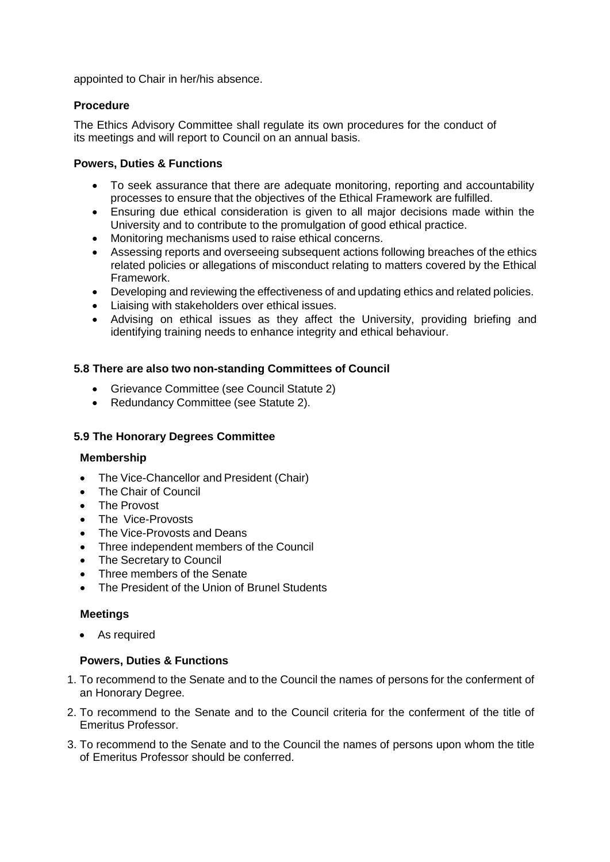appointed to Chair in her/his absence.

## **Procedure**

The Ethics Advisory Committee shall regulate its own procedures for the conduct of its meetings and will report to Council on an annual basis.

## **Powers, Duties & Functions**

- To seek assurance that there are adequate monitoring, reporting and accountability processes to ensure that the objectives of the Ethical Framework are fulfilled.
- Ensuring due ethical consideration is given to all major decisions made within the University and to contribute to the promulgation of good ethical practice.
- Monitoring mechanisms used to raise ethical concerns.
- Assessing reports and overseeing subsequent actions following breaches of the ethics related policies or allegations of misconduct relating to matters covered by the Ethical Framework.
- Developing and reviewing the effectiveness of and updating ethics and related policies.
- Liaising with stakeholders over ethical issues.
- Advising on ethical issues as they affect the University, providing briefing and identifying training needs to enhance integrity and ethical behaviour.

# **5.8 There are also two non-standing Committees of Council**

- Grievance Committee (see Council Statute 2)
- Redundancy Committee (see Statute 2).

## **5.9 The Honorary Degrees Committee**

## **Membership**

- The Vice-Chancellor and President (Chair)
- The Chair of Council
- The Provost
- The Vice-Provosts
- The Vice-Provosts and Deans
- Three independent members of the Council
- The Secretary to Council
- Three members of the Senate
- The President of the Union of Brunel Students

## **Meetings**

• As required

- 1. To recommend to the Senate and to the Council the names of persons for the conferment of an Honorary Degree.
- 2. To recommend to the Senate and to the Council criteria for the conferment of the title of Emeritus Professor.
- 3. To recommend to the Senate and to the Council the names of persons upon whom the title of Emeritus Professor should be conferred.